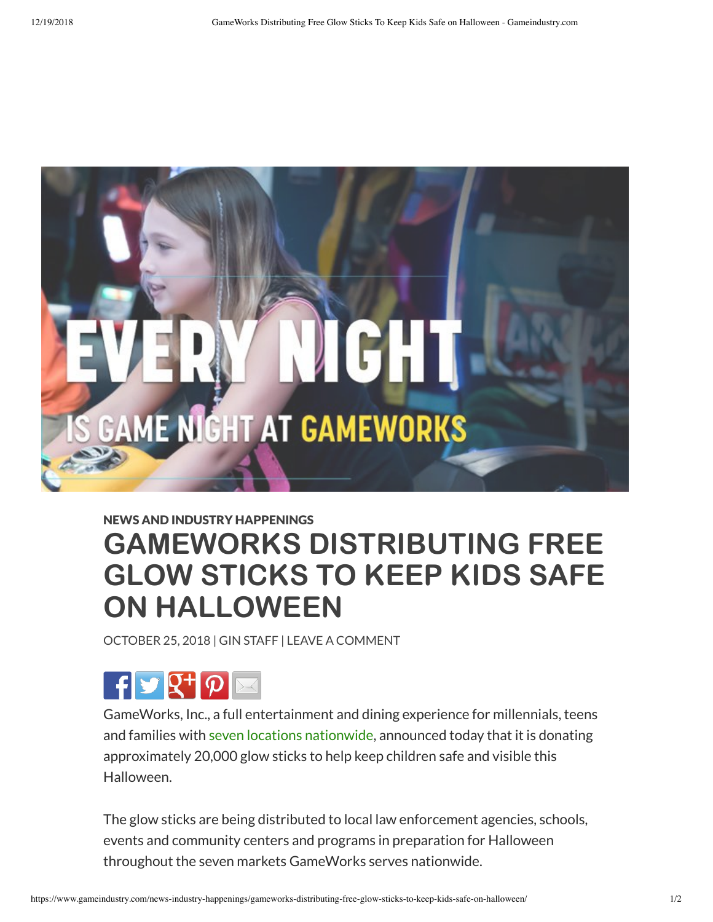

## NEWS AND INDUSTRY HAPPENINGS

## **GAMEWORKS DISTRIBUTING FREE GLOW STICKS TO KEEP KIDS SAFE ON HALLOWEEN**

OCTOBER 25, 2018 | GIN STAFF | LEAVE A COMMENT



GameWorks, Inc., a full entertainment and dining experience for millennials, teens and families with seven locations nationwide, announced today that it is donating approximately 20,000 glow sticks to help keep children safe and visible this Halloween.

The glow sticks are being distributed to local law enforcement agencies, schools, events and community centers and programs in preparation for Halloween throughout the seven markets GameWorks serves nationwide.